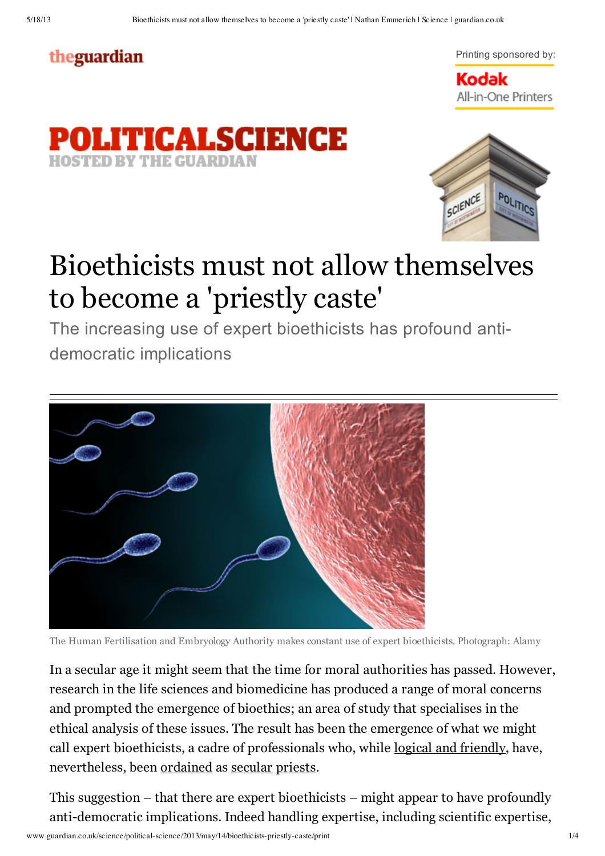## theguardian



**Kodak** All-in-One Printers





## Bioethicists must not allow themselves to become a 'priestly caste'

The increasing use of expert bioethicists has profound antidemocratic implications



The Human Fertilisation and Embryology Authority makes constant use of expert bioethicists. Photograph: Alamy

In a secular age it might seem that the time for moral authorities has passed. However, research in the life sciences and biomedicine has produced a range of moral concerns and prompted the emergence of bioethics; an area of study that specialises in the ethical analysis of these issues. The result has been the emergence of what we might call expert bioethicists, a cadre of professionals who, while logical and friendly, have, nevertheless, been ordained as secular priests.

This suggestion – that there are expert bioethicists – might appear to have profoundly anti-democratic implications. Indeed handling expertise, including scientific expertise,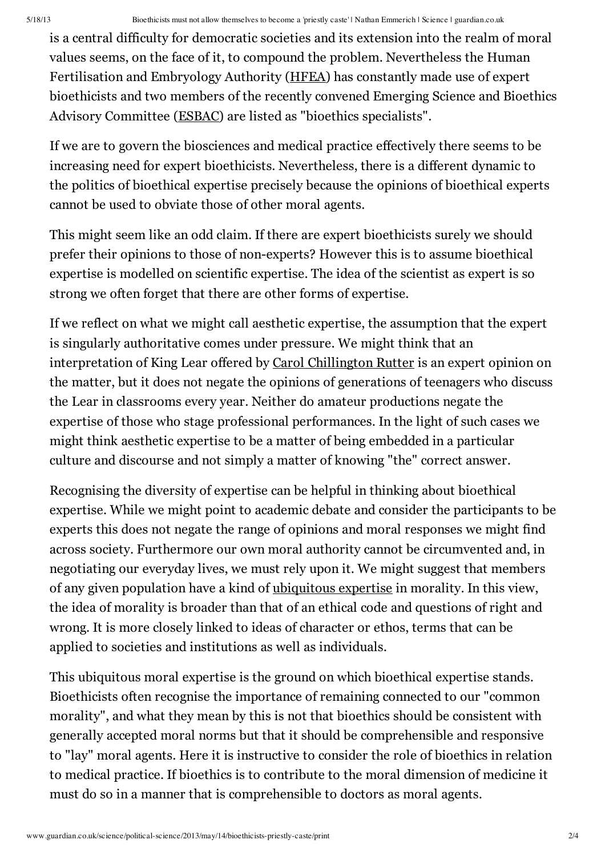is a central difficulty for democratic societies and its extension into the realm of moral values seems, on the face of it, to compound the problem. Nevertheless the Human Fertilisation and Embryology Authority (HFEA) has constantly made use of expert bioethicists and two members of the recently convened Emerging Science and Bioethics Advisory Committee (ESBAC) are listed as "bioethics specialists".

If we are to govern the biosciences and medical practice effectively there seems to be increasing need for expert bioethicists. Nevertheless, there is a different dynamic to the politics of bioethical expertise precisely because the opinions of bioethical experts cannot be used to obviate those of other moral agents.

This might seem like an odd claim. If there are expert bioethicists surely we should prefer their opinions to those of non-experts? However this is to assume bioethical expertise is modelled on scientific expertise. The idea of the scientist as expert is so strong we often forget that there are other forms of expertise.

If we reflect on what we might call aesthetic expertise, the assumption that the expert is singularly authoritative comes under pressure. We might think that an interpretation of King Lear offered by Carol Chillington Rutter is an expert opinion on the matter, but it does not negate the opinions of generations of teenagers who discuss the Lear in classrooms every year. Neither do amateur productions negate the expertise of those who stage professional performances. In the light of such cases we might think aesthetic expertise to be a matter of being embedded in a particular culture and discourse and not simply a matter of knowing "the" correct answer.

Recognising the diversity of expertise can be helpful in thinking about bioethical expertise. While we might point to academic debate and consider the participants to be experts this does not negate the range of opinions and moral responses we might find across society. Furthermore our own moral authority cannot be circumvented and, in negotiating our everyday lives, we must rely upon it. We might suggest that members of any given population have a kind of ubiquitous expertise in morality. In this view, the idea of morality is broader than that of an ethical code and questions of right and wrong. It is more closely linked to ideas of character or ethos, terms that can be applied to societies and institutions as well as individuals.

This ubiquitous moral expertise is the ground on which bioethical expertise stands. Bioethicists often recognise the importance of remaining connected to our "common morality", and what they mean by this is not that bioethics should be consistent with generally accepted moral norms but that it should be comprehensible and responsive to "lay" moral agents. Here it is instructive to consider the role of bioethics in relation to medical practice. If bioethics is to contribute to the moral dimension of medicine it must do so in a manner that is comprehensible to doctors as moral agents.